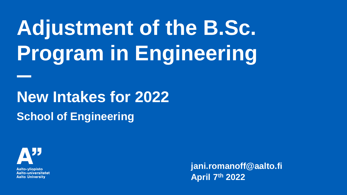# **Adjustment of the B.Sc. Program in Engineering**

**New Intakes for 2022 School of Engineering**



Aalto-vliopisto **Aalto-universitetet Aalto University** 

**jani.romanoff@aalto.fi April 7 th 2022**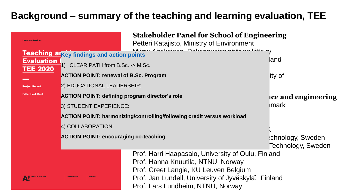### **Background – summary of the teaching and learning evaluation, TEE**